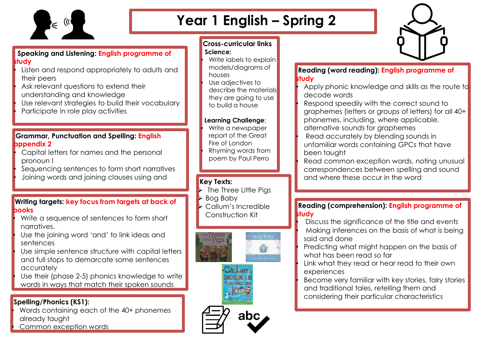

# **Year 1 English – Spring 2**



#### **Speaking and Listening: English programme of study**

- Listen and respond appropriately to adults and their peers
- Ask relevant questions to extend their understanding and knowledge
- Use relevant strategies to build their vocabulary
- Participate in role play activities

### **Grammar, Punctuation and Spelling: English appendix 2**

- Capital letters for names and the personal pronoun I
- Sequencing sentences to form short narratives • Joining words and joining clauses using and

### **Writing targets: key focus from targets at back of books**

- Write a sequence of sentences to form short narratives.
- Use the joining word 'and' to link ideas and sentences
- Use simple sentence structure with capital letters and full stops to demarcate some sentences accurately
- Use their (phase 2-5) phonics knowledge to write words in ways that match their spoken sounds

# **Spelling/Phonics (KS1):**

• Words containing each of the 40+ phonemes already taught Common exception words

## **Cross-curricular links Science:**

Write labels to explain models/diagrams of houses Use adjectives to describe the materials they are going to use to build a house

#### **Learning Challenge**:

• Write a newspaper report of the Great Fire of London • Rhyming words from poem by Paul Perro

# **Key Texts:**

- ➢ The Three Little Pigs
- ➢ Bog Baby
- ➢ Callum's Incredible Construction Kit



## **Reading (word reading): English programme of study**

- Apply phonic knowledge and skills as the route to decode words
- Respond speedily with the correct sound to graphemes (letters or groups of letters) for all 40+ phonemes, including, where applicable, alternative sounds for graphemes
- Read accurately by blending sounds in unfamiliar words containing GPCs that have been taught
- Read common exception words, noting unusual correspondences between spelling and sound and where these occur in the word

#### **Reading (comprehension): English programme of study**

- Discuss the significance of the title and events • Making inferences on the basis of what is being said and done
- Predicting what might happen on the basis of what has been read so far
- Link what they read or hear read to their own experiences
- Become very familiar with key stories, fairy stories and traditional tales, retelling them and considering their particular characteristics